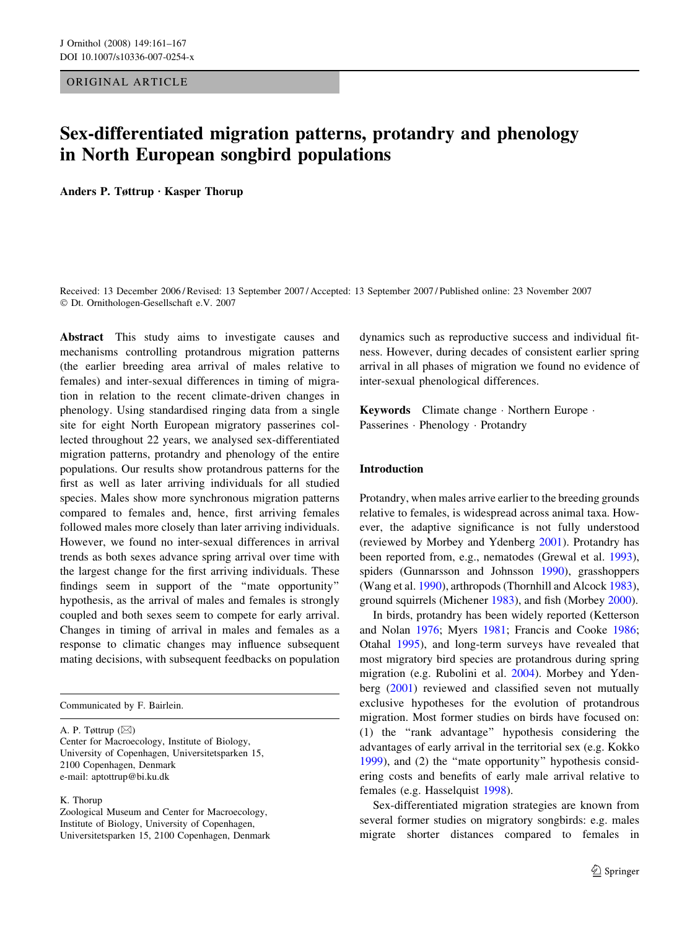ORIGINAL ARTICLE

# Sex-differentiated migration patterns, protandry and phenology in North European songbird populations

Anders P. Tøttrup  $\cdot$  Kasper Thorup

Received: 13 December 2006 / Revised: 13 September 2007 / Accepted: 13 September 2007 / Published online: 23 November 2007 Dt. Ornithologen-Gesellschaft e.V. 2007

Abstract This study aims to investigate causes and mechanisms controlling protandrous migration patterns (the earlier breeding area arrival of males relative to females) and inter-sexual differences in timing of migration in relation to the recent climate-driven changes in phenology. Using standardised ringing data from a single site for eight North European migratory passerines collected throughout 22 years, we analysed sex-differentiated migration patterns, protandry and phenology of the entire populations. Our results show protandrous patterns for the first as well as later arriving individuals for all studied species. Males show more synchronous migration patterns compared to females and, hence, first arriving females followed males more closely than later arriving individuals. However, we found no inter-sexual differences in arrival trends as both sexes advance spring arrival over time with the largest change for the first arriving individuals. These findings seem in support of the ''mate opportunity'' hypothesis, as the arrival of males and females is strongly coupled and both sexes seem to compete for early arrival. Changes in timing of arrival in males and females as a response to climatic changes may influence subsequent mating decisions, with subsequent feedbacks on population

Communicated by F. Bairlein.

A. P. Tøttrup  $(\boxtimes)$ Center for Macroecology, Institute of Biology, University of Copenhagen, Universitetsparken 15, 2100 Copenhagen, Denmark e-mail: aptottrup@bi.ku.dk

## K. Thorup

Zoological Museum and Center for Macroecology, Institute of Biology, University of Copenhagen, Universitetsparken 15, 2100 Copenhagen, Denmark dynamics such as reproductive success and individual fitness. However, during decades of consistent earlier spring arrival in all phases of migration we found no evidence of inter-sexual phenological differences.

Keywords Climate change · Northern Europe · Passerines · Phenology · Protandry

# Introduction

Protandry, when males arrive earlier to the breeding grounds relative to females, is widespread across animal taxa. However, the adaptive significance is not fully understood (reviewed by Morbey and Ydenberg [2001\)](#page-5-0). Protandry has been reported from, e.g., nematodes (Grewal et al. [1993](#page-5-0)), spiders (Gunnarsson and Johnsson [1990](#page-5-0)), grasshoppers (Wang et al. [1990](#page-6-0)), arthropods (Thornhill and Alcock [1983](#page-6-0)), ground squirrels (Michener [1983\)](#page-5-0), and fish (Morbey [2000](#page-5-0)).

In birds, protandry has been widely reported (Ketterson and Nolan [1976;](#page-5-0) Myers [1981;](#page-5-0) Francis and Cooke [1986](#page-5-0); Otahal [1995\)](#page-5-0), and long-term surveys have revealed that most migratory bird species are protandrous during spring migration (e.g. Rubolini et al. [2004](#page-6-0)). Morbey and Ydenberg [\(2001](#page-5-0)) reviewed and classified seven not mutually exclusive hypotheses for the evolution of protandrous migration. Most former studies on birds have focused on: (1) the ''rank advantage'' hypothesis considering the advantages of early arrival in the territorial sex (e.g. Kokko [1999](#page-5-0)), and (2) the ''mate opportunity'' hypothesis considering costs and benefits of early male arrival relative to females (e.g. Hasselquist [1998](#page-5-0)).

Sex-differentiated migration strategies are known from several former studies on migratory songbirds: e.g. males migrate shorter distances compared to females in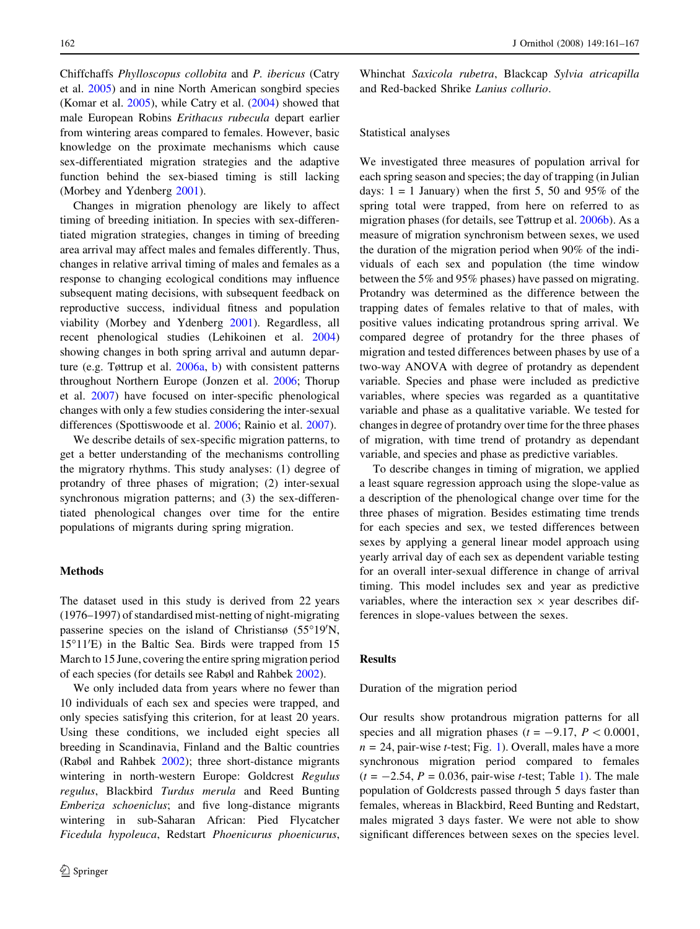<span id="page-1-0"></span>Chiffchaffs Phylloscopus collobita and P. ibericus (Catry et al. [2005](#page-5-0)) and in nine North American songbird species (Komar et al. [2005](#page-5-0)), while Catry et al. [\(2004](#page-5-0)) showed that male European Robins Erithacus rubecula depart earlier from wintering areas compared to females. However, basic knowledge on the proximate mechanisms which cause sex-differentiated migration strategies and the adaptive function behind the sex-biased timing is still lacking (Morbey and Ydenberg [2001\)](#page-5-0).

Changes in migration phenology are likely to affect timing of breeding initiation. In species with sex-differentiated migration strategies, changes in timing of breeding area arrival may affect males and females differently. Thus, changes in relative arrival timing of males and females as a response to changing ecological conditions may influence subsequent mating decisions, with subsequent feedback on reproductive success, individual fitness and population viability (Morbey and Ydenberg [2001\)](#page-5-0). Regardless, all recent phenological studies (Lehikoinen et al. [2004\)](#page-5-0) showing changes in both spring arrival and autumn departure (e.g. Tøttrup et al. [2006a](#page-6-0), [b](#page-6-0)) with consistent patterns throughout Northern Europe (Jonzen et al. [2006;](#page-5-0) Thorup et al. [2007\)](#page-6-0) have focused on inter-specific phenological changes with only a few studies considering the inter-sexual differences (Spottiswoode et al. [2006](#page-6-0); Rainio et al. [2007\)](#page-6-0).

We describe details of sex-specific migration patterns, to get a better understanding of the mechanisms controlling the migratory rhythms. This study analyses: (1) degree of protandry of three phases of migration; (2) inter-sexual synchronous migration patterns; and (3) the sex-differentiated phenological changes over time for the entire populations of migrants during spring migration.

# Methods

The dataset used in this study is derived from 22 years (1976–1997) of standardised mist-netting of night-migrating passerine species on the island of Christiansø (55°19'N, 15°11'E) in the Baltic Sea. Birds were trapped from 15 March to 15 June, covering the entire spring migration period of each species (for details see Rabøl and Rahbek [2002\)](#page-5-0).

We only included data from years where no fewer than 10 individuals of each sex and species were trapped, and only species satisfying this criterion, for at least 20 years. Using these conditions, we included eight species all breeding in Scandinavia, Finland and the Baltic countries (Rabøl and Rahbek [2002](#page-5-0)); three short-distance migrants wintering in north-western Europe: Goldcrest Regulus regulus, Blackbird Turdus merula and Reed Bunting Emberiza schoeniclus; and five long-distance migrants wintering in sub-Saharan African: Pied Flycatcher Ficedula hypoleuca, Redstart Phoenicurus phoenicurus,

Whinchat Saxicola rubetra, Blackcap Sylvia atricapilla and Red-backed Shrike Lanius collurio.

# Statistical analyses

We investigated three measures of population arrival for each spring season and species; the day of trapping (in Julian days:  $1 = 1$  January) when the first 5, 50 and 95% of the spring total were trapped, from here on referred to as migration phases (for details, see Tøttrup et al. [2006b](#page-6-0)). As a measure of migration synchronism between sexes, we used the duration of the migration period when 90% of the individuals of each sex and population (the time window between the 5% and 95% phases) have passed on migrating. Protandry was determined as the difference between the trapping dates of females relative to that of males, with positive values indicating protandrous spring arrival. We compared degree of protandry for the three phases of migration and tested differences between phases by use of a two-way ANOVA with degree of protandry as dependent variable. Species and phase were included as predictive variables, where species was regarded as a quantitative variable and phase as a qualitative variable. We tested for changes in degree of protandry over time for the three phases of migration, with time trend of protandry as dependant variable, and species and phase as predictive variables.

To describe changes in timing of migration, we applied a least square regression approach using the slope-value as a description of the phenological change over time for the three phases of migration. Besides estimating time trends for each species and sex, we tested differences between sexes by applying a general linear model approach using yearly arrival day of each sex as dependent variable testing for an overall inter-sexual difference in change of arrival timing. This model includes sex and year as predictive variables, where the interaction sex  $\times$  year describes differences in slope-values between the sexes.

## Results

## Duration of the migration period

Our results show protandrous migration patterns for all species and all migration phases ( $t = -9.17$ ,  $P \lt 0.0001$ ,  $n = 24$ , pair-wise *t*-test; Fig. [1](#page-2-0)). Overall, males have a more synchronous migration period compared to females  $(t = -2.54, P = 0.036,$  pair-wise *t*-test; Table [1\)](#page-2-0). The male population of Goldcrests passed through 5 days faster than females, whereas in Blackbird, Reed Bunting and Redstart, males migrated 3 days faster. We were not able to show significant differences between sexes on the species level.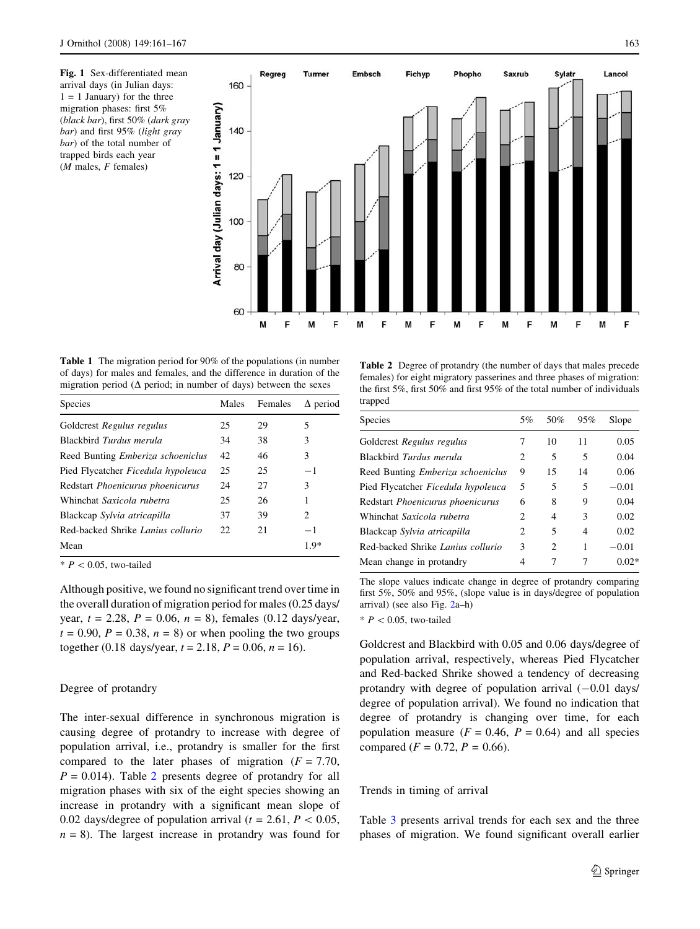<span id="page-2-0"></span>Fig. 1 Sex-differentiated mean arrival days (in Julian days:  $1 = 1$  January) for the three migration phases: first 5% (black bar), first 50% (dark gray bar) and first 95% (light gray bar) of the total number of trapped birds each year  $(M$  males,  $F$  females)



Table 1 The migration period for 90% of the populations (in number of days) for males and females, and the difference in duration of the migration period ( $\Delta$  period; in number of days) between the sexes

| <b>Species</b>                           | Males | Females | $\Delta$ period |
|------------------------------------------|-------|---------|-----------------|
| Goldcrest Regulus regulus                | 25    | 29      | 5               |
| <b>Blackbird Turdus merula</b>           | 34    | 38      | 3               |
| Reed Bunting <i>Emberiza schoeniclus</i> | 42    | 46      | 3               |
| Pied Flycatcher Ficedula hypoleuca       | 25    | 25      | $-1$            |
| Redstart <i>Phoenicurus phoenicurus</i>  | 24    | 27      | 3               |
| Whinchat Saxicola rubetra                | 25    | 26      | 1               |
| Blackcap Sylvia atricapilla              | 37    | 39      | 2               |
| Red-backed Shrike Lanius collurio        | 22    | 21      | $-1$            |
| Mean                                     |       |         | $1.9*$          |

 $* P < 0.05$ , two-tailed

Although positive, we found no significant trend over time in the overall duration of migration period for males (0.25 days/ year,  $t = 2.28$ ,  $P = 0.06$ ,  $n = 8$ ), females (0.12 days/year,  $t = 0.90$ ,  $P = 0.38$ ,  $n = 8$ ) or when pooling the two groups together (0.18 days/year,  $t = 2.18$ ,  $P = 0.06$ ,  $n = 16$ ).

## Degree of protandry

The inter-sexual difference in synchronous migration is causing degree of protandry to increase with degree of population arrival, i.e., protandry is smaller for the first compared to the later phases of migration  $(F = 7.70)$ ,  $P = 0.014$ ). Table 2 presents degree of protandry for all migration phases with six of the eight species showing an increase in protandry with a significant mean slope of 0.02 days/degree of population arrival ( $t = 2.61, P < 0.05$ ,  $n = 8$ ). The largest increase in protandry was found for

Table 2 Degree of protandry (the number of days that males precede females) for eight migratory passerines and three phases of migration: the first 5%, first 50% and first 95% of the total number of individuals trapped

| Species                                  | 5% | 50% | 95% | Slope   |
|------------------------------------------|----|-----|-----|---------|
| Goldcrest Regulus regulus                | 7  | 10  | 11  | 0.05    |
| Blackbird Turdus merula                  | 2  | 5   | 5   | 0.04    |
| Reed Bunting <i>Emberiza schoeniclus</i> | 9  | 15  | 14  | 0.06    |
| Pied Flycatcher Ficedula hypoleuca       | 5  | 5   | 5   | $-0.01$ |
| Redstart Phoenicurus phoenicurus         | 6  | 8   | 9   | 0.04    |
| Whinchat Saxicola rubetra                | 2  | 4   | 3   | 0.02    |
| Blackcap Sylvia atricapilla              | 2  | 5   | 4   | 0.02    |
| Red-backed Shrike Lanius collurio        | 3  | 2   | 1   | $-0.01$ |
| Mean change in protandry                 | 4  | 7   | 7   | $0.02*$ |

The slope values indicate change in degree of protandry comparing first 5%, 50% and 95%, (slope value is in days/degree of population arrival) (see also Fig. [2](#page-4-0)a–h)

 $* P < 0.05$ , two-tailed

Goldcrest and Blackbird with 0.05 and 0.06 days/degree of population arrival, respectively, whereas Pied Flycatcher and Red-backed Shrike showed a tendency of decreasing protandry with degree of population arrival  $(-0.01 \text{ days})$ degree of population arrival). We found no indication that degree of protandry is changing over time, for each population measure  $(F = 0.46, P = 0.64)$  and all species compared ( $F = 0.72$ ,  $P = 0.66$ ).

#### Trends in timing of arrival

Table [3](#page-3-0) presents arrival trends for each sex and the three phases of migration. We found significant overall earlier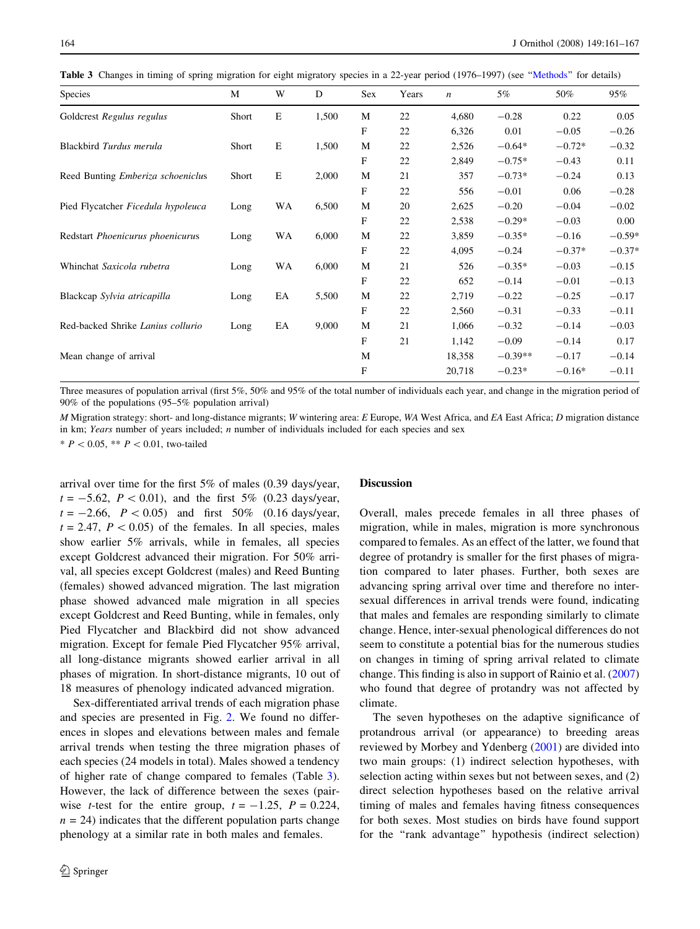<span id="page-3-0"></span>Table 3 Changes in timing of spring migration for eight migratory species in a 22-year period (1976–1997) (see "[Methods](#page-1-0)" for details)

| Species                            | М     | W         | D     | Sex          | Years | $\boldsymbol{n}$ | 5%        | 50%      | 95%      |
|------------------------------------|-------|-----------|-------|--------------|-------|------------------|-----------|----------|----------|
| Goldcrest Regulus regulus          | Short | Е         | 1,500 | M            | 22    | 4,680            | $-0.28$   | 0.22     | 0.05     |
|                                    |       |           |       | F            | 22    | 6,326            | 0.01      | $-0.05$  | $-0.26$  |
| Blackbird Turdus merula            | Short | E         | 1,500 | M            | 22    | 2,526            | $-0.64*$  | $-0.72*$ | $-0.32$  |
|                                    |       |           |       | $_{\rm F}$   | 22    | 2,849            | $-0.75*$  | $-0.43$  | 0.11     |
| Reed Bunting Emberiza schoeniclus  | Short | E         | 2,000 | M            | 21    | 357              | $-0.73*$  | $-0.24$  | 0.13     |
|                                    |       |           |       | F            | 22    | 556              | $-0.01$   | 0.06     | $-0.28$  |
| Pied Flycatcher Ficedula hypoleuca | Long  | WA        | 6,500 | M            | 20    | 2,625            | $-0.20$   | $-0.04$  | $-0.02$  |
|                                    |       |           |       | F            | 22    | 2,538            | $-0.29*$  | $-0.03$  | 0.00     |
| Redstart Phoenicurus phoenicurus   | Long  | <b>WA</b> | 6,000 | M            | 22    | 3,859            | $-0.35*$  | $-0.16$  | $-0.59*$ |
|                                    |       |           |       | F            | 22    | 4,095            | $-0.24$   | $-0.37*$ | $-0.37*$ |
| Whinchat Saxicola rubetra          | Long  | WA        | 6,000 | M            | 21    | 526              | $-0.35*$  | $-0.03$  | $-0.15$  |
|                                    |       |           |       | F            | 22    | 652              | $-0.14$   | $-0.01$  | $-0.13$  |
| Blackcap Sylvia atricapilla        | Long  | EA        | 5,500 | M            | 22    | 2,719            | $-0.22$   | $-0.25$  | $-0.17$  |
|                                    |       |           |       | F            | 22    | 2,560            | $-0.31$   | $-0.33$  | $-0.11$  |
| Red-backed Shrike Lanius collurio  | Long  | EA        | 9,000 | M            | 21    | 1,066            | $-0.32$   | $-0.14$  | $-0.03$  |
|                                    |       |           |       | $_{\rm F}$   | 21    | 1,142            | $-0.09$   | $-0.14$  | 0.17     |
| Mean change of arrival             |       |           |       | M            |       | 18,358           | $-0.39**$ | $-0.17$  | $-0.14$  |
|                                    |       |           |       | $\mathbf{F}$ |       | 20,718           | $-0.23*$  | $-0.16*$ | $-0.11$  |

Three measures of population arrival (first 5%, 50% and 95% of the total number of individuals each year, and change in the migration period of 90% of the populations (95–5% population arrival)

M Migration strategy: short- and long-distance migrants; W wintering area: E Europe, WA West Africa, and EA East Africa; D migration distance in km; Years number of years included;  $n$  number of individuals included for each species and sex

 $*$  P < 0.05,  $*$  P < 0.01, two-tailed

arrival over time for the first 5% of males (0.39 days/year,  $t = -5.62$ ,  $P < 0.01$ ), and the first 5% (0.23 days/year,  $t = -2.66$ ,  $P < 0.05$ ) and first 50% (0.16 days/year,  $t = 2.47$ ,  $P < 0.05$ ) of the females. In all species, males show earlier 5% arrivals, while in females, all species except Goldcrest advanced their migration. For 50% arrival, all species except Goldcrest (males) and Reed Bunting (females) showed advanced migration. The last migration phase showed advanced male migration in all species except Goldcrest and Reed Bunting, while in females, only Pied Flycatcher and Blackbird did not show advanced migration. Except for female Pied Flycatcher 95% arrival, all long-distance migrants showed earlier arrival in all phases of migration. In short-distance migrants, 10 out of 18 measures of phenology indicated advanced migration.

Sex-differentiated arrival trends of each migration phase and species are presented in Fig. [2](#page-4-0). We found no differences in slopes and elevations between males and female arrival trends when testing the three migration phases of each species (24 models in total). Males showed a tendency of higher rate of change compared to females (Table 3). However, the lack of difference between the sexes (pairwise *t*-test for the entire group,  $t = -1.25$ ,  $P = 0.224$ ,  $n = 24$ ) indicates that the different population parts change phenology at a similar rate in both males and females.

#### Discussion

Overall, males precede females in all three phases of migration, while in males, migration is more synchronous compared to females. As an effect of the latter, we found that degree of protandry is smaller for the first phases of migration compared to later phases. Further, both sexes are advancing spring arrival over time and therefore no intersexual differences in arrival trends were found, indicating that males and females are responding similarly to climate change. Hence, inter-sexual phenological differences do not seem to constitute a potential bias for the numerous studies on changes in timing of spring arrival related to climate change. This finding is also in support of Rainio et al. ([2007\)](#page-6-0) who found that degree of protandry was not affected by climate.

The seven hypotheses on the adaptive significance of protandrous arrival (or appearance) to breeding areas reviewed by Morbey and Ydenberg ([2001\)](#page-5-0) are divided into two main groups: (1) indirect selection hypotheses, with selection acting within sexes but not between sexes, and (2) direct selection hypotheses based on the relative arrival timing of males and females having fitness consequences for both sexes. Most studies on birds have found support for the ''rank advantage'' hypothesis (indirect selection)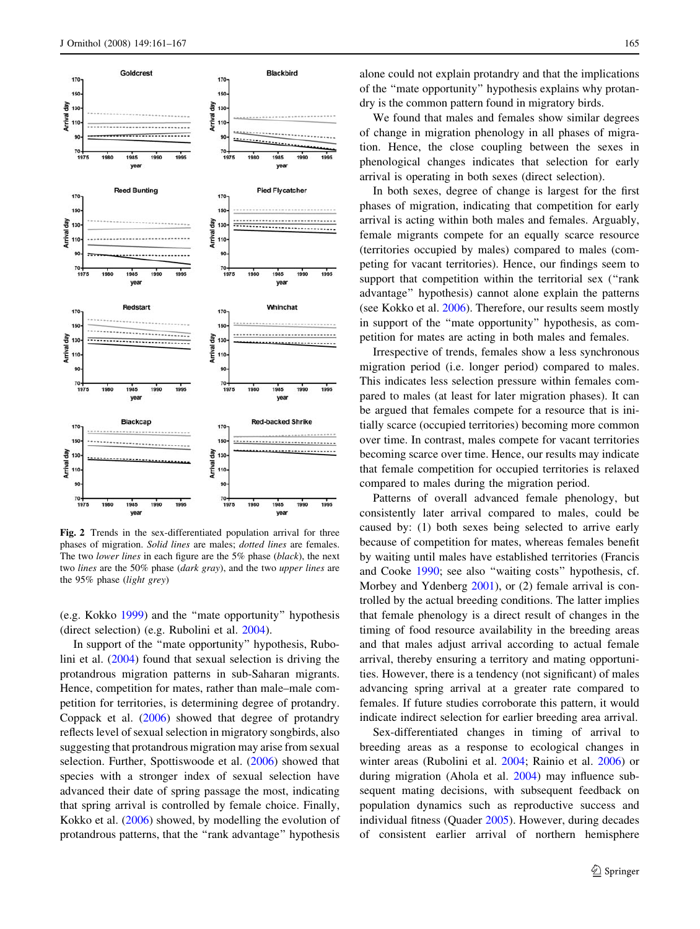<span id="page-4-0"></span>

Fig. 2 Trends in the sex-differentiated population arrival for three phases of migration. Solid lines are males; dotted lines are females. The two *lower lines* in each figure are the 5% phase (*black*), the next two lines are the 50% phase (dark gray), and the two upper lines are the 95% phase (light grey)

(e.g. Kokko [1999\)](#page-5-0) and the ''mate opportunity'' hypothesis (direct selection) (e.g. Rubolini et al. [2004\)](#page-6-0).

In support of the ''mate opportunity'' hypothesis, Rubolini et al. ([2004\)](#page-6-0) found that sexual selection is driving the protandrous migration patterns in sub-Saharan migrants. Hence, competition for mates, rather than male–male competition for territories, is determining degree of protandry. Coppack et al. ([2006\)](#page-5-0) showed that degree of protandry reflects level of sexual selection in migratory songbirds, also suggesting that protandrous migration may arise from sexual selection. Further, Spottiswoode et al. [\(2006](#page-6-0)) showed that species with a stronger index of sexual selection have advanced their date of spring passage the most, indicating that spring arrival is controlled by female choice. Finally, Kokko et al. ([2006\)](#page-5-0) showed, by modelling the evolution of protandrous patterns, that the ''rank advantage'' hypothesis alone could not explain protandry and that the implications of the ''mate opportunity'' hypothesis explains why protandry is the common pattern found in migratory birds.

We found that males and females show similar degrees of change in migration phenology in all phases of migration. Hence, the close coupling between the sexes in phenological changes indicates that selection for early arrival is operating in both sexes (direct selection).

In both sexes, degree of change is largest for the first phases of migration, indicating that competition for early arrival is acting within both males and females. Arguably, female migrants compete for an equally scarce resource (territories occupied by males) compared to males (competing for vacant territories). Hence, our findings seem to support that competition within the territorial sex ("rank") advantage'' hypothesis) cannot alone explain the patterns (see Kokko et al. [2006\)](#page-5-0). Therefore, our results seem mostly in support of the ''mate opportunity'' hypothesis, as competition for mates are acting in both males and females.

Irrespective of trends, females show a less synchronous migration period (i.e. longer period) compared to males. This indicates less selection pressure within females compared to males (at least for later migration phases). It can be argued that females compete for a resource that is initially scarce (occupied territories) becoming more common over time. In contrast, males compete for vacant territories becoming scarce over time. Hence, our results may indicate that female competition for occupied territories is relaxed compared to males during the migration period.

Patterns of overall advanced female phenology, but consistently later arrival compared to males, could be caused by: (1) both sexes being selected to arrive early because of competition for mates, whereas females benefit by waiting until males have established territories (Francis and Cooke [1990](#page-5-0); see also ''waiting costs'' hypothesis, cf. Morbey and Ydenberg [2001](#page-5-0)), or (2) female arrival is controlled by the actual breeding conditions. The latter implies that female phenology is a direct result of changes in the timing of food resource availability in the breeding areas and that males adjust arrival according to actual female arrival, thereby ensuring a territory and mating opportunities. However, there is a tendency (not significant) of males advancing spring arrival at a greater rate compared to females. If future studies corroborate this pattern, it would indicate indirect selection for earlier breeding area arrival.

Sex-differentiated changes in timing of arrival to breeding areas as a response to ecological changes in winter areas (Rubolini et al. [2004;](#page-6-0) Rainio et al. [2006\)](#page-5-0) or during migration (Ahola et al. [2004](#page-5-0)) may influence subsequent mating decisions, with subsequent feedback on population dynamics such as reproductive success and individual fitness (Quader [2005](#page-5-0)). However, during decades of consistent earlier arrival of northern hemisphere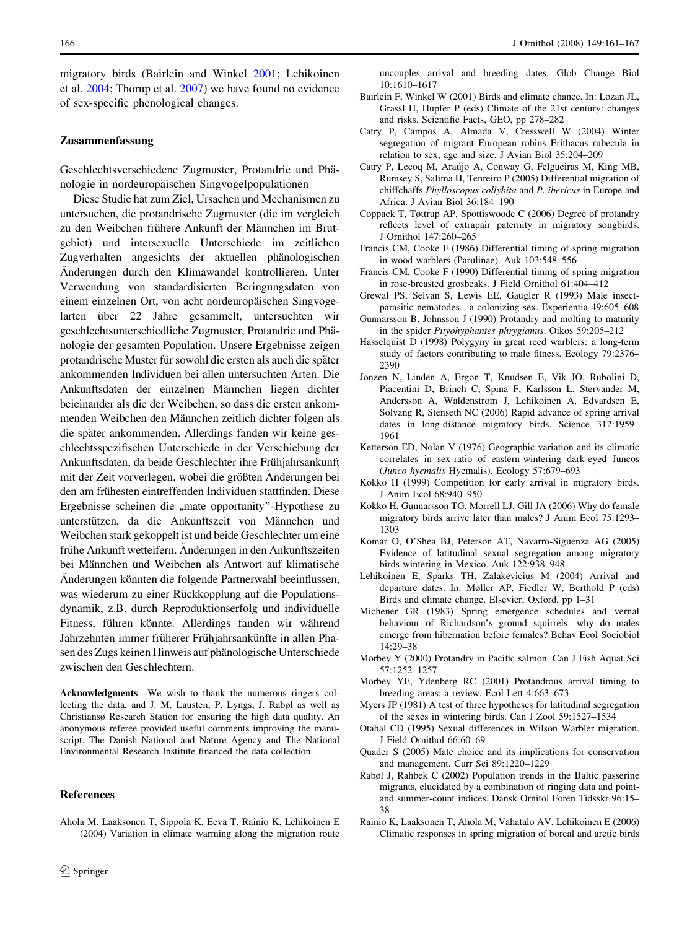<span id="page-5-0"></span>migratory birds (Bairlein and Winkel 2001; Lehikoinen et al. 2004; Thorup et al. [2007](#page-6-0)) we have found no evidence of sex-specific phenological changes.

# Zusammenfassung

Geschlechtsverschiedene Zugmuster, Protandrie und Phänologie in nordeuropäischen Singvogelpopulationen

Diese Studie hat zum Ziel, Ursachen und Mechanismen zu untersuchen, die protandrische Zugmuster (die im vergleich zu den Weibchen frühere Ankunft der Männchen im Brutgebiet) und intersexuelle Unterschiede im zeitlichen Zugverhalten angesichts der aktuellen phänologischen Änderungen durch den Klimawandel kontrollieren. Unter Verwendung von standardisierten Beringungsdaten von einem einzelnen Ort, von acht nordeuropäischen Singvogelarten über 22 Jahre gesammelt, untersuchten wir geschlechtsunterschiedliche Zugmuster, Protandrie und Phänologie der gesamten Population. Unsere Ergebnisse zeigen protandrische Muster für sowohl die ersten als auch die später ankommenden Individuen bei allen untersuchten Arten. Die Ankunftsdaten der einzelnen Männchen liegen dichter beieinander als die der Weibchen, so dass die ersten ankommenden Weibchen den Männchen zeitlich dichter folgen als die später ankommenden. Allerdings fanden wir keine geschlechtsspezifischen Unterschiede in der Verschiebung der Ankunftsdaten, da beide Geschlechter ihre Frühjahrsankunft mit der Zeit vorverlegen, wobei die größten Änderungen bei den am frühesten eintreffenden Individuen stattfinden. Diese Ergebnisse scheinen die ,,mate opportunity''-Hypothese zu unterstützen, da die Ankunftszeit von Männchen und Weibchen stark gekoppelt ist und beide Geschlechter um eine frühe Ankunft wetteifern. Änderungen in den Ankunftszeiten bei Männchen und Weibchen als Antwort auf klimatische Änderungen könnten die folgende Partnerwahl beeinflussen, was wiederum zu einer Rückkopplung auf die Populationsdynamik, z.B. durch Reproduktionserfolg und individuelle Fitness, führen könnte. Allerdings fanden wir während Jahrzehnten immer früherer Frühjahrsankünfte in allen Phasen des Zugs keinen Hinweis auf phänologische Unterschiede zwischen den Geschlechtern.

Acknowledgments We wish to thank the numerous ringers collecting the data, and J. M. Lausten, P. Lyngs, J. Rabøl as well as Christiansø Research Station for ensuring the high data quality. An anonymous referee provided useful comments improving the manuscript. The Danish National and Nature Agency and The National Environmental Research Institute financed the data collection.

Ahola M, Laaksonen T, Sippola K, Eeva T, Rainio K, Lehikoinen E (2004) Variation in climate warming along the migration route

### References

2 Springer

uncouples arrival and breeding dates. Glob Change Biol 10:1610–1617

- Bairlein F, Winkel W (2001) Birds and climate chance. In: Lozan JL, Grassl H, Hupfer P (eds) Climate of the 21st century: changes and risks. Scientific Facts, GEO, pp 278–282
- Catry P, Campos A, Almada V, Cresswell W (2004) Winter segregation of migrant European robins Erithacus rubecula in relation to sex, age and size. J Avian Biol 35:204–209
- Catry P, Lecoq M, Arau´jo A, Conway G, Felgueiras M, King MB, Rumsey S, Salima H, Tenreiro P (2005) Differential migration of chiffchaffs Phylloscopus collybita and P. ibericus in Europe and Africa. J Avian Biol 36:184–190
- Coppack T, Tøttrup AP, Spottiswoode C (2006) Degree of protandry reflects level of extrapair paternity in migratory songbirds. J Ornithol 147:260–265
- Francis CM, Cooke F (1986) Differential timing of spring migration in wood warblers (Parulinae). Auk 103:548–556
- Francis CM, Cooke F (1990) Differential timing of spring migration in rose-breasted grosbeaks. J Field Ornithol 61:404–412
- Grewal PS, Selvan S, Lewis EE, Gaugler R (1993) Male insectparasitic nematodes—a colonizing sex. Experientia 49:605–608
- Gunnarsson B, Johnsson J (1990) Protandry and molting to maturity in the spider Pityohyphantes phrygianus. Oikos 59:205–212
- Hasselquist D (1998) Polygyny in great reed warblers: a long-term study of factors contributing to male fitness. Ecology 79:2376– 2390
- Jonzen N, Linden A, Ergon T, Knudsen E, Vik JO, Rubolini D, Piacentini D, Brinch C, Spina F, Karlsson L, Stervander M, Andersson A, Waldenstrom J, Lehikoinen A, Edvardsen E, Solvang R, Stenseth NC (2006) Rapid advance of spring arrival dates in long-distance migratory birds. Science 312:1959– 1961
- Ketterson ED, Nolan V (1976) Geographic variation and its climatic correlates in sex-ratio of eastern-wintering dark-eyed Juncos (Junco hyemalis Hyemalis). Ecology 57:679–693
- Kokko H (1999) Competition for early arrival in migratory birds. J Anim Ecol 68:940–950
- Kokko H, Gunnarsson TG, Morrell LJ, Gill JA (2006) Why do female migratory birds arrive later than males? J Anim Ecol 75:1293– 1303
- Komar O, O'Shea BJ, Peterson AT, Navarro-Siguenza AG (2005) Evidence of latitudinal sexual segregation among migratory birds wintering in Mexico. Auk 122:938–948
- Lehikoinen E, Sparks TH, Zalakevicius M (2004) Arrival and departure dates. In: Møller AP, Fiedler W, Berthold P (eds) Birds and climate change. Elsevier, Oxford, pp 1–31
- Michener GR (1983) Spring emergence schedules and vernal behaviour of Richardson's ground squirrels: why do males emerge from hibernation before females? Behav Ecol Sociobiol 14:29–38
- Morbey Y (2000) Protandry in Pacific salmon. Can J Fish Aquat Sci 57:1252–1257
- Morbey YE, Ydenberg RC (2001) Protandrous arrival timing to breeding areas: a review. Ecol Lett 4:663–673
- Myers JP (1981) A test of three hypotheses for latitudinal segregation of the sexes in wintering birds. Can J Zool 59:1527–1534
- Otahal CD (1995) Sexual differences in Wilson Warbler migration. J Field Ornithol 66:60–69
- Quader S (2005) Mate choice and its implications for conservation and management. Curr Sci 89:1220–1229
- Rabøl J, Rahbek C (2002) Population trends in the Baltic passerine migrants, elucidated by a combination of ringing data and pointand summer-count indices. Dansk Ornitol Foren Tidsskr 96:15– 38
- Rainio K, Laaksonen T, Ahola M, Vahatalo AV, Lehikoinen E (2006) Climatic responses in spring migration of boreal and arctic birds